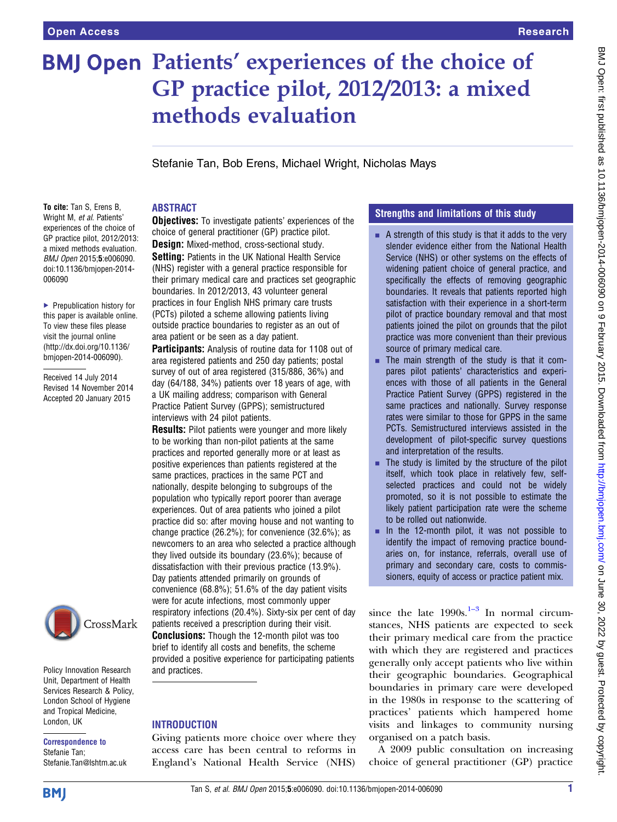# **BMJ Open Patients' experiences of the choice of** GP practice pilot, 2012/2013: a mixed methods evaluation

Stefanie Tan, Bob Erens, Michael Wright, Nicholas Mays

# ABSTRACT

To cite: Tan S, Erens B, Wright M, et al. Patients' experiences of the choice of GP practice pilot, 2012/2013: a mixed methods evaluation. BMJ Open 2015;5:e006090. doi:10.1136/bmjopen-2014- 006090

▶ Prepublication history for this paper is available online. To view these files please visit the journal online [\(http://dx.doi.org/10.1136/](http://dx.doi.org/10.1136/bmjopen-2014-006090) [bmjopen-2014-006090](http://dx.doi.org/10.1136/bmjopen-2014-006090)).

Received 14 July 2014 Revised 14 November 2014 Accepted 20 January 2015



Policy Innovation Research Unit, Department of Health Services Research & Policy, London School of Hygiene and Tropical Medicine, London, UK

Correspondence to Stefanie Tan; Stefanie.Tan@lshtm.ac.uk **Objectives:** To investigate patients' experiences of the choice of general practitioner (GP) practice pilot. **Design:** Mixed-method, cross-sectional study. Setting: Patients in the UK National Health Service (NHS) register with a general practice responsible for their primary medical care and practices set geographic boundaries. In 2012/2013, 43 volunteer general practices in four English NHS primary care trusts (PCTs) piloted a scheme allowing patients living outside practice boundaries to register as an out of area patient or be seen as a day patient.

Participants: Analysis of routine data for 1108 out of area registered patients and 250 day patients; postal survey of out of area registered (315/886, 36%) and day (64/188, 34%) patients over 18 years of age, with a UK mailing address; comparison with General Practice Patient Survey (GPPS); semistructured interviews with 24 pilot patients.

**Results:** Pilot patients were younger and more likely to be working than non-pilot patients at the same practices and reported generally more or at least as positive experiences than patients registered at the same practices, practices in the same PCT and nationally, despite belonging to subgroups of the population who typically report poorer than average experiences. Out of area patients who joined a pilot practice did so: after moving house and not wanting to change practice (26.2%); for convenience (32.6%); as newcomers to an area who selected a practice although they lived outside its boundary (23.6%); because of dissatisfaction with their previous practice (13.9%). Day patients attended primarily on grounds of convenience (68.8%); 51.6% of the day patient visits were for acute infections, most commonly upper respiratory infections (20.4%). Sixty-six per cent of day patients received a prescription during their visit. **Conclusions:** Though the 12-month pilot was too brief to identify all costs and benefits, the scheme provided a positive experience for participating patients and practices.

## INTRODUCTION

Giving patients more choice over where they access care has been central to reforms in England's National Health Service (NHS)

## Strengths and limitations of this study

- $\blacksquare$  A strength of this study is that it adds to the very slender evidence either from the National Health Service (NHS) or other systems on the effects of widening patient choice of general practice, and specifically the effects of removing geographic boundaries. It reveals that patients reported high satisfaction with their experience in a short-term pilot of practice boundary removal and that most patients joined the pilot on grounds that the pilot practice was more convenient than their previous source of primary medical care.
- $\blacksquare$  The main strength of the study is that it compares pilot patients' characteristics and experiences with those of all patients in the General Practice Patient Survey (GPPS) registered in the same practices and nationally. Survey response rates were similar to those for GPPS in the same PCTs. Semistructured interviews assisted in the development of pilot-specific survey questions and interpretation of the results.
- The study is limited by the structure of the pilot itself, which took place in relatively few, selfselected practices and could not be widely promoted, so it is not possible to estimate the likely patient participation rate were the scheme to be rolled out nationwide.
- $\blacksquare$  In the 12-month pilot, it was not possible to identify the impact of removing practice boundaries on, for instance, referrals, overall use of primary and secondary care, costs to commissioners, equity of access or practice patient mix.

since the late  $1990s$  $1990s$ .<sup>1–3</sup> In normal circumstances, NHS patients are expected to seek their primary medical care from the practice with which they are registered and practices generally only accept patients who live within their geographic boundaries. Geographical boundaries in primary care were developed in the 1980s in response to the scattering of practices' patients which hampered home visits and linkages to community nursing organised on a patch basis.

A 2009 public consultation on increasing choice of general practitioner (GP) practice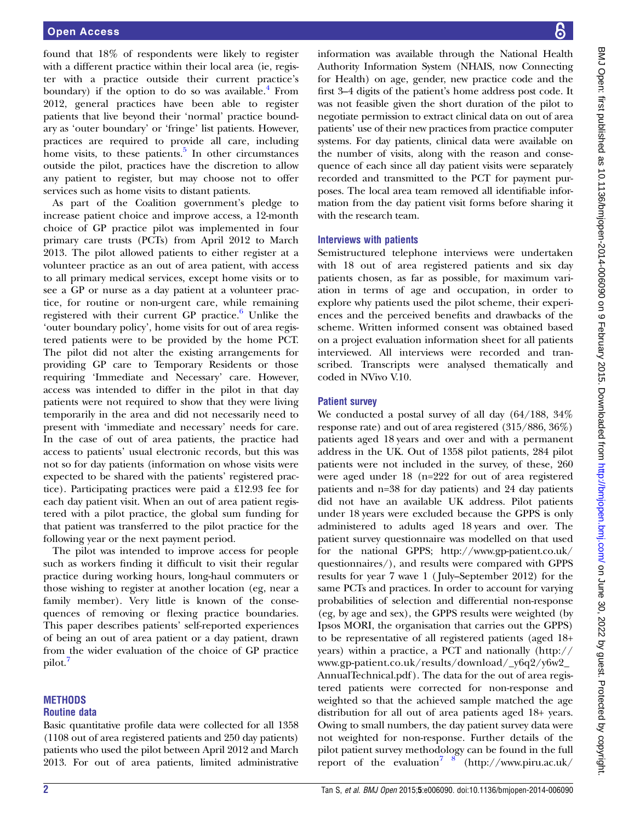found that 18% of respondents were likely to register with a different practice within their local area (ie, register with a practice outside their current practice's boundary) if the option to do so was available. $4$  From 2012, general practices have been able to register patients that live beyond their 'normal' practice boundary as 'outer boundary' or 'fringe' list patients. However, practices are required to provide all care, including home visits, to these patients. $5$  In other circumstances outside the pilot, practices have the discretion to allow any patient to register, but may choose not to offer services such as home visits to distant patients.

As part of the Coalition government's pledge to increase patient choice and improve access, a 12-month choice of GP practice pilot was implemented in four primary care trusts (PCTs) from April 2012 to March 2013. The pilot allowed patients to either register at a volunteer practice as an out of area patient, with access to all primary medical services, except home visits or to see a GP or nurse as a day patient at a volunteer practice, for routine or non-urgent care, while remaining registered with their current GP practice.<sup>[6](#page-6-0)</sup> Unlike the 'outer boundary policy', home visits for out of area registered patients were to be provided by the home PCT. The pilot did not alter the existing arrangements for providing GP care to Temporary Residents or those requiring 'Immediate and Necessary' care. However, access was intended to differ in the pilot in that day patients were not required to show that they were living temporarily in the area and did not necessarily need to present with 'immediate and necessary' needs for care. In the case of out of area patients, the practice had access to patients' usual electronic records, but this was not so for day patients (information on whose visits were expected to be shared with the patients' registered practice). Participating practices were paid a £12.93 fee for each day patient visit. When an out of area patient registered with a pilot practice, the global sum funding for that patient was transferred to the pilot practice for the following year or the next payment period.

The pilot was intended to improve access for people such as workers finding it difficult to visit their regular practice during working hours, long-haul commuters or those wishing to register at another location (eg, near a family member). Very little is known of the consequences of removing or flexing practice boundaries. This paper describes patients' self-reported experiences of being an out of area patient or a day patient, drawn from the wider evaluation of the choice of GP practice pilot.[7](#page-6-0)

## **METHODS**

#### Routine data

Basic quantitative profile data were collected for all 1358 (1108 out of area registered patients and 250 day patients) patients who used the pilot between April 2012 and March 2013. For out of area patients, limited administrative

information was available through the National Health Authority Information System (NHAIS, now Connecting for Health) on age, gender, new practice code and the first 3–4 digits of the patient's home address post code. It was not feasible given the short duration of the pilot to negotiate permission to extract clinical data on out of area patients' use of their new practices from practice computer systems. For day patients, clinical data were available on the number of visits, along with the reason and consequence of each since all day patient visits were separately recorded and transmitted to the PCT for payment purposes. The local area team removed all identifiable information from the day patient visit forms before sharing it with the research team.

## Interviews with patients

Semistructured telephone interviews were undertaken with 18 out of area registered patients and six day patients chosen, as far as possible, for maximum variation in terms of age and occupation, in order to explore why patients used the pilot scheme, their experiences and the perceived benefits and drawbacks of the scheme. Written informed consent was obtained based on a project evaluation information sheet for all patients interviewed. All interviews were recorded and transcribed. Transcripts were analysed thematically and coded in NVivo V.10.

## Patient survey

We conducted a postal survey of all day (64/188, 34% response rate) and out of area registered (315/886, 36%) patients aged 18 years and over and with a permanent address in the UK. Out of 1358 pilot patients, 284 pilot patients were not included in the survey, of these, 260 were aged under 18 (n=222 for out of area registered patients and n=38 for day patients) and 24 day patients did not have an available UK address. Pilot patients under 18 years were excluded because the GPPS is only administered to adults aged 18 years and over. The patient survey questionnaire was modelled on that used for the national GPPS; [http://www.gp-patient.co.uk/](http://www.gp-patient.co.uk/questionnaires/) [questionnaires/](http://www.gp-patient.co.uk/questionnaires/)), and results were compared with GPPS results for year 7 wave 1 ( July–September 2012) for the same PCTs and practices. In order to account for varying probabilities of selection and differential non-response (eg, by age and sex), the GPPS results were weighted (by Ipsos MORI, the organisation that carries out the GPPS) to be representative of all registered patients (aged 18+ years) within a practice, a PCT and nationally [\(http://](http://www.gp-patient.co.uk/results/download/_y6q2/y6w2_AnnualTechnical.pdf) [www.gp-patient.co.uk/results/download/\\_y6q2/y6w2\\_](http://www.gp-patient.co.uk/results/download/_y6q2/y6w2_AnnualTechnical.pdf) [AnnualTechnical.pdf](http://www.gp-patient.co.uk/results/download/_y6q2/y6w2_AnnualTechnical.pdf) ). The data for the out of area registered patients were corrected for non-response and weighted so that the achieved sample matched the age distribution for all out of area patients aged 18+ years. Owing to small numbers, the day patient survey data were not weighted for non-response. Further details of the pilot patient survey methodology can be found in the full report of the evaluation<sup>7</sup> 8 ([http://www.piru.ac.uk/](http://www.piru.ac.uk/assets/files/General%20Practice%20Choice%20Pilot%20Evaluation.pdf)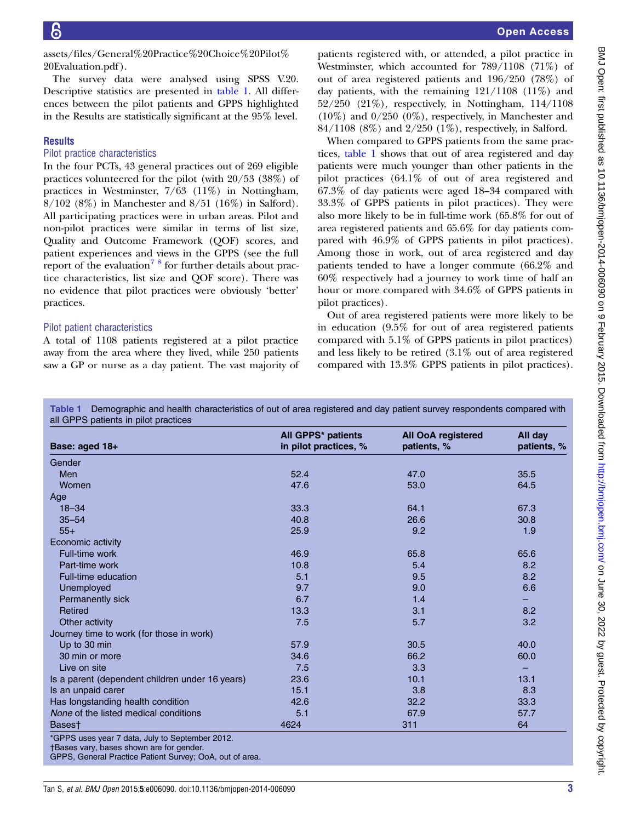assets/fi[les/General%20Practice%20Choice%20Pilot%](http://www.piru.ac.uk/assets/files/General%20Practice%20Choice%20Pilot%20Evaluation.pdf) [20Evaluation.pdf](http://www.piru.ac.uk/assets/files/General%20Practice%20Choice%20Pilot%20Evaluation.pdf) ).

The survey data were analysed using SPSS V.20. Descriptive statistics are presented in table 1. All differences between the pilot patients and GPPS highlighted in the Results are statistically significant at the 95% level.

## **Results**

#### Pilot practice characteristics

In the four PCTs, 43 general practices out of 269 eligible practices volunteered for the pilot (with 20/53 (38%) of practices in Westminster, 7/63 (11%) in Nottingham, 8/102 (8%) in Manchester and 8/51 (16%) in Salford). All participating practices were in urban areas. Pilot and non-pilot practices were similar in terms of list size, Quality and Outcome Framework (QOF) scores, and patient experiences and views in the GPPS (see the full report of the evaluation<sup> $78$ </sup> for further details about practice characteristics, list size and QOF score). There was no evidence that pilot practices were obviously 'better' practices.

## Pilot patient characteristics

A total of 1108 patients registered at a pilot practice away from the area where they lived, while 250 patients saw a GP or nurse as a day patient. The vast majority of

patients registered with, or attended, a pilot practice in Westminster, which accounted for 789/1108 (71%) of out of area registered patients and 196/250 (78%) of day patients, with the remaining 121/1108 (11%) and 52/250 (21%), respectively, in Nottingham, 114/1108 (10%) and 0/250 (0%), respectively, in Manchester and 84/1108 (8%) and 2/250 (1%), respectively, in Salford.

When compared to GPPS patients from the same practices, table 1 shows that out of area registered and day patients were much younger than other patients in the pilot practices (64.1% of out of area registered and 67.3% of day patients were aged 18–34 compared with 33.3% of GPPS patients in pilot practices). They were also more likely to be in full-time work (65.8% for out of area registered patients and 65.6% for day patients compared with 46.9% of GPPS patients in pilot practices). Among those in work, out of area registered and day patients tended to have a longer commute (66.2% and 60% respectively had a journey to work time of half an hour or more compared with 34.6% of GPPS patients in pilot practices).

Out of area registered patients were more likely to be in education (9.5% for out of area registered patients compared with 5.1% of GPPS patients in pilot practices) and less likely to be retired (3.1% out of area registered compared with 13.3% GPPS patients in pilot practices).

Table 1 Demographic and health characteristics of out of area registered and day patient survey respondents compared with all GPPS patients in pilot practices

| Base: aged 18+                                  | All GPPS* patients<br>in pilot practices, % | <b>All OoA registered</b><br>patients, % | All day<br>patients, % |
|-------------------------------------------------|---------------------------------------------|------------------------------------------|------------------------|
|                                                 |                                             |                                          |                        |
| Men                                             | 52.4                                        | 47.0                                     | 35.5                   |
| Women                                           | 47.6                                        | 53.0                                     | 64.5                   |
| Age                                             |                                             |                                          |                        |
| $18 - 34$                                       | 33.3                                        | 64.1                                     | 67.3                   |
| $35 - 54$                                       | 40.8                                        | 26.6                                     | 30.8                   |
| $55+$                                           | 25.9                                        | 9.2                                      | 1.9                    |
| Economic activity                               |                                             |                                          |                        |
| Full-time work                                  | 46.9                                        | 65.8                                     | 65.6                   |
| Part-time work                                  | 10.8                                        | 5.4                                      | 8.2                    |
| Full-time education                             | 5.1                                         | 9.5                                      | 8.2                    |
| Unemployed                                      | 9.7                                         | 9.0                                      | 6.6                    |
| Permanently sick                                | 6.7                                         | 1.4                                      |                        |
| Retired                                         | 13.3                                        | 3.1                                      | 8.2                    |
| Other activity                                  | 7.5                                         | 5.7                                      | 3.2                    |
| Journey time to work (for those in work)        |                                             |                                          |                        |
| Up to 30 min                                    | 57.9                                        | 30.5                                     | 40.0                   |
| 30 min or more                                  | 34.6                                        | 66.2                                     | 60.0                   |
| Live on site                                    | 7.5                                         | 3.3                                      |                        |
| Is a parent (dependent children under 16 years) | 23.6                                        | 10.1                                     | 13.1                   |
| Is an unpaid carer                              | 15.1                                        | 3.8                                      | 8.3                    |
| Has longstanding health condition               | 42.6                                        | 32.2                                     | 33.3                   |
| None of the listed medical conditions           | 5.1                                         | 67.9                                     | 57.7                   |
| Basest                                          | 4624                                        | 311                                      | 64                     |

\*GPPS uses year 7 data, July to September 2012.

GPPS, General Practice Patient Survey; OoA, out of area.

<sup>†</sup>Bases vary, bases shown are for gender.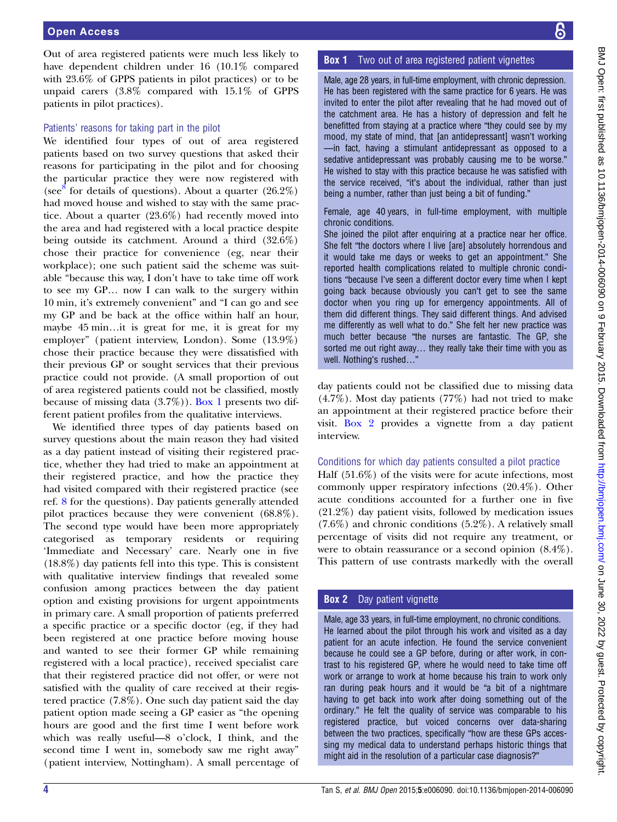Out of area registered patients were much less likely to have dependent children under 16 (10.1% compared with 23.6% of GPPS patients in pilot practices) or to be unpaid carers (3.8% compared with 15.1% of GPPS patients in pilot practices).

## Patients' reasons for taking part in the pilot

We identified four types of out of area registered patients based on two survey questions that asked their reasons for participating in the pilot and for choosing the particular practice they were now registered with (see<sup>[8](#page-6-0)</sup> for details of questions). About a quarter  $(26.2\%)$ had moved house and wished to stay with the same practice. About a quarter (23.6%) had recently moved into the area and had registered with a local practice despite being outside its catchment. Around a third (32.6%) chose their practice for convenience (eg, near their workplace); one such patient said the scheme was suitable "because this way, I don't have to take time off work to see my GP… now I can walk to the surgery within 10 min, it's extremely convenient" and "I can go and see my GP and be back at the office within half an hour, maybe 45 min…it is great for me, it is great for my employer" (patient interview, London). Some (13.9%) chose their practice because they were dissatisfied with their previous GP or sought services that their previous practice could not provide. (A small proportion of out of area registered patients could not be classified, mostly because of missing data  $(3.7\%)$ ). Box 1 presents two different patient profiles from the qualitative interviews.

We identified three types of day patients based on survey questions about the main reason they had visited as a day patient instead of visiting their registered practice, whether they had tried to make an appointment at their registered practice, and how the practice they had visited compared with their registered practice (see ref. [8](#page-6-0) for the questions). Day patients generally attended pilot practices because they were convenient (68.8%). The second type would have been more appropriately categorised as temporary residents or requiring 'Immediate and Necessary' care. Nearly one in five (18.8%) day patients fell into this type. This is consistent with qualitative interview findings that revealed some confusion among practices between the day patient option and existing provisions for urgent appointments in primary care. A small proportion of patients preferred a specific practice or a specific doctor (eg, if they had been registered at one practice before moving house and wanted to see their former GP while remaining registered with a local practice), received specialist care that their registered practice did not offer, or were not satisfied with the quality of care received at their registered practice (7.8%). One such day patient said the day patient option made seeing a GP easier as "the opening hours are good and the first time I went before work which was really useful—8 o'clock, I think, and the second time I went in, somebody saw me right away" (patient interview, Nottingham). A small percentage of

## **Box 1** Two out of area registered patient vignettes

Male, age 28 years, in full-time employment, with chronic depression. He has been registered with the same practice for 6 years. He was invited to enter the pilot after revealing that he had moved out of the catchment area. He has a history of depression and felt he benefitted from staying at a practice where "they could see by my mood, my state of mind, that [an antidepressant] wasn't working —in fact, having a stimulant antidepressant as opposed to a sedative antidepressant was probably causing me to be worse." He wished to stay with this practice because he was satisfied with the service received, "it's about the individual, rather than just being a number, rather than just being a bit of funding."

Female, age 40 years, in full-time employment, with multiple chronic conditions.

She joined the pilot after enquiring at a practice near her office. She felt "the doctors where I live [are] absolutely horrendous and it would take me days or weeks to get an appointment." She reported health complications related to multiple chronic conditions "because I've seen a different doctor every time when I kept going back because obviously you can't get to see the same doctor when you ring up for emergency appointments. All of them did different things. They said different things. And advised me differently as well what to do." She felt her new practice was much better because "the nurses are fantastic. The GP, she sorted me out right away… they really take their time with you as well. Nothing's rushed…"

day patients could not be classified due to missing data (4.7%). Most day patients (77%) had not tried to make an appointment at their registered practice before their visit. Box 2 provides a vignette from a day patient interview.

## Conditions for which day patients consulted a pilot practice

Half (51.6%) of the visits were for acute infections, most commonly upper respiratory infections (20.4%). Other acute conditions accounted for a further one in five (21.2%) day patient visits, followed by medication issues  $(7.6\%)$  and chronic conditions  $(5.2\%)$ . A relatively small percentage of visits did not require any treatment, or were to obtain reassurance or a second opinion (8.4%). This pattern of use contrasts markedly with the overall

# **Box 2** Day patient vignette

Male, age 33 years, in full-time employment, no chronic conditions. He learned about the pilot through his work and visited as a day patient for an acute infection. He found the service convenient because he could see a GP before, during or after work, in contrast to his registered GP, where he would need to take time off work or arrange to work at home because his train to work only ran during peak hours and it would be "a bit of a nightmare having to get back into work after doing something out of the ordinary." He felt the quality of service was comparable to his registered practice, but voiced concerns over data-sharing between the two practices, specifically "how are these GPs accessing my medical data to understand perhaps historic things that might aid in the resolution of a particular case diagnosis?"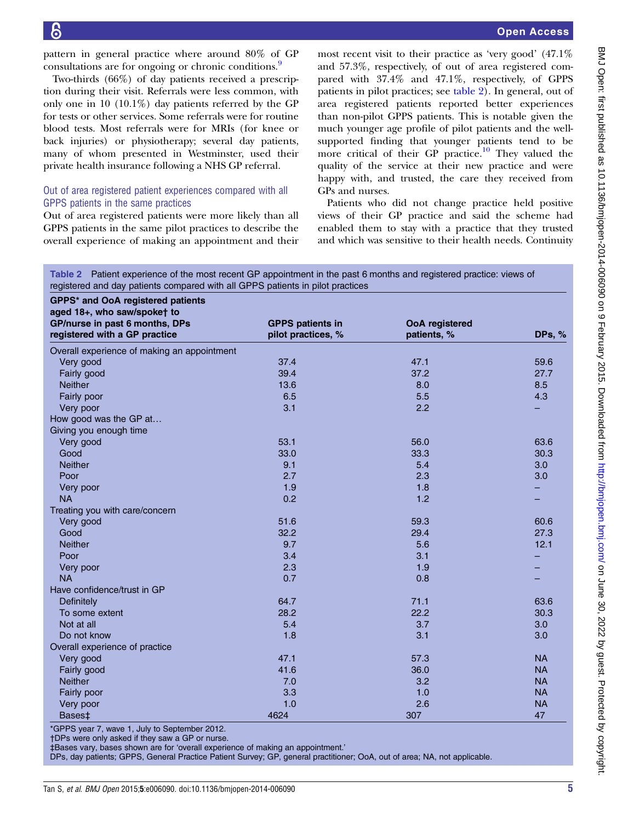pattern in general practice where around 80% of GP consultations are for ongoing or chronic conditions.<sup>[9](#page-6-0)</sup>

Two-thirds (66%) of day patients received a prescription during their visit. Referrals were less common, with only one in 10 (10.1%) day patients referred by the GP for tests or other services. Some referrals were for routine blood tests. Most referrals were for MRIs (for knee or back injuries) or physiotherapy; several day patients, many of whom presented in Westminster, used their private health insurance following a NHS GP referral.

## Out of area registered patient experiences compared with all GPPS patients in the same practices

Out of area registered patients were more likely than all GPPS patients in the same pilot practices to describe the overall experience of making an appointment and their most recent visit to their practice as 'very good' (47.1% and 57.3%, respectively, of out of area registered compared with 37.4% and 47.1%, respectively, of GPPS patients in pilot practices; see table 2). In general, out of area registered patients reported better experiences than non-pilot GPPS patients. This is notable given the much younger age profile of pilot patients and the wellsupported finding that younger patients tend to be more critical of their  $GP$  practice.<sup>[10](#page-6-0)</sup> They valued the quality of the service at their new practice and were happy with, and trusted, the care they received from GPs and nurses.

Patients who did not change practice held positive views of their GP practice and said the scheme had enabled them to stay with a practice that they trusted and which was sensitive to their health needs. Continuity

Table 2 Patient experience of the most recent GP appointment in the past 6 months and registered practice: views of registered and day patients compared with all GPPS patients in pilot practices

| <b>GPPS* and OoA registered patients</b>                        |                                               |                               |           |
|-----------------------------------------------------------------|-----------------------------------------------|-------------------------------|-----------|
| aged 18+, who saw/spoket to                                     |                                               |                               |           |
| GP/nurse in past 6 months, DPs<br>registered with a GP practice | <b>GPPS patients in</b><br>pilot practices, % | OoA registered<br>patients, % | DPs, %    |
|                                                                 |                                               |                               |           |
| Overall experience of making an appointment                     |                                               |                               |           |
| Very good                                                       | 37.4                                          | 47.1                          | 59.6      |
| Fairly good                                                     | 39.4                                          | 37.2                          | 27.7      |
| <b>Neither</b>                                                  | 13.6                                          | 8.0                           | 8.5       |
| Fairly poor                                                     | 6.5                                           | 5.5                           | 4.3       |
| Very poor                                                       | 3.1                                           | 2.2                           |           |
| How good was the GP at                                          |                                               |                               |           |
| Giving you enough time                                          |                                               |                               |           |
| Very good                                                       | 53.1                                          | 56.0                          | 63.6      |
| Good                                                            | 33.0                                          | 33.3                          | 30.3      |
| <b>Neither</b>                                                  | 9.1                                           | 5.4                           | 3.0       |
| Poor                                                            | 2.7                                           | 2.3                           | 3.0       |
| Very poor                                                       | 1.9                                           | 1.8                           |           |
| <b>NA</b>                                                       | 0.2                                           | 1.2                           |           |
| Treating you with care/concern                                  |                                               |                               |           |
| Very good                                                       | 51.6                                          | 59.3                          | 60.6      |
| Good                                                            | 32.2                                          | 29.4                          | 27.3      |
| <b>Neither</b>                                                  | 9.7                                           | 5.6                           | 12.1      |
| Poor                                                            | 3.4                                           | 3.1                           |           |
| Very poor                                                       | 2.3                                           | 1.9                           |           |
| <b>NA</b>                                                       | 0.7                                           | 0.8                           |           |
| Have confidence/trust in GP                                     |                                               |                               |           |
| <b>Definitely</b>                                               | 64.7                                          | 71.1                          | 63.6      |
| To some extent                                                  | 28.2                                          | 22.2                          | 30.3      |
| Not at all                                                      | 5.4                                           | 3.7                           | 3.0       |
| Do not know                                                     | 1.8                                           | 3.1                           | 3.0       |
| Overall experience of practice                                  |                                               |                               |           |
| Very good                                                       | 47.1                                          | 57.3                          | <b>NA</b> |
| Fairly good                                                     | 41.6                                          | 36.0                          | <b>NA</b> |
| <b>Neither</b>                                                  | 7.0                                           | 3.2                           | <b>NA</b> |
| Fairly poor                                                     | 3.3                                           | 1.0                           | <b>NA</b> |
| Very poor                                                       | 1.0                                           | 2.6                           | <b>NA</b> |
| Bases <sup>+</sup>                                              | 4624                                          | 307                           | 47        |

\*GPPS year 7, wave 1, July to September 2012.

†DPs were only asked if they saw a GP or nurse.

‡Bases vary, bases shown are for 'overall experience of making an appointment.'

DPs, day patients; GPPS, General Practice Patient Survey; GP, general practitioner; OoA, out of area; NA, not applicable.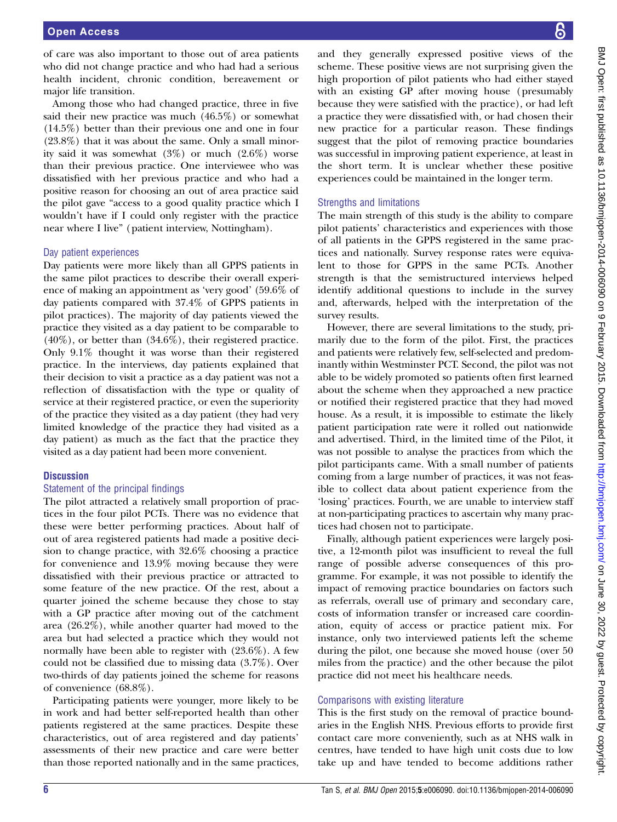of care was also important to those out of area patients who did not change practice and who had had a serious health incident, chronic condition, bereavement or major life transition.

Among those who had changed practice, three in five said their new practice was much (46.5%) or somewhat (14.5%) better than their previous one and one in four (23.8%) that it was about the same. Only a small minority said it was somewhat  $(3\%)$  or much  $(2.6\%)$  worse than their previous practice. One interviewee who was dissatisfied with her previous practice and who had a positive reason for choosing an out of area practice said the pilot gave "access to a good quality practice which I wouldn't have if I could only register with the practice near where I live" (patient interview, Nottingham).

#### Day patient experiences

Day patients were more likely than all GPPS patients in the same pilot practices to describe their overall experience of making an appointment as 'very good' (59.6% of day patients compared with 37.4% of GPPS patients in pilot practices). The majority of day patients viewed the practice they visited as a day patient to be comparable to  $(40\%)$ , or better than  $(34.6\%)$ , their registered practice. Only 9.1% thought it was worse than their registered practice. In the interviews, day patients explained that their decision to visit a practice as a day patient was not a reflection of dissatisfaction with the type or quality of service at their registered practice, or even the superiority of the practice they visited as a day patient (they had very limited knowledge of the practice they had visited as a day patient) as much as the fact that the practice they visited as a day patient had been more convenient.

#### **Discussion**

## Statement of the principal findings

The pilot attracted a relatively small proportion of practices in the four pilot PCTs. There was no evidence that these were better performing practices. About half of out of area registered patients had made a positive decision to change practice, with 32.6% choosing a practice for convenience and 13.9% moving because they were dissatisfied with their previous practice or attracted to some feature of the new practice. Of the rest, about a quarter joined the scheme because they chose to stay with a GP practice after moving out of the catchment area (26.2%), while another quarter had moved to the area but had selected a practice which they would not normally have been able to register with (23.6%). A few could not be classified due to missing data (3.7%). Over two-thirds of day patients joined the scheme for reasons of convenience (68.8%).

Participating patients were younger, more likely to be in work and had better self-reported health than other patients registered at the same practices. Despite these characteristics, out of area registered and day patients' assessments of their new practice and care were better than those reported nationally and in the same practices,

and they generally expressed positive views of the scheme. These positive views are not surprising given the high proportion of pilot patients who had either stayed with an existing GP after moving house (presumably because they were satisfied with the practice), or had left a practice they were dissatisfied with, or had chosen their new practice for a particular reason. These findings suggest that the pilot of removing practice boundaries was successful in improving patient experience, at least in the short term. It is unclear whether these positive experiences could be maintained in the longer term.

#### Strengths and limitations

The main strength of this study is the ability to compare pilot patients' characteristics and experiences with those of all patients in the GPPS registered in the same practices and nationally. Survey response rates were equivalent to those for GPPS in the same PCTs. Another strength is that the semistructured interviews helped identify additional questions to include in the survey and, afterwards, helped with the interpretation of the survey results.

However, there are several limitations to the study, primarily due to the form of the pilot. First, the practices and patients were relatively few, self-selected and predominantly within Westminster PCT. Second, the pilot was not able to be widely promoted so patients often first learned about the scheme when they approached a new practice or notified their registered practice that they had moved house. As a result, it is impossible to estimate the likely patient participation rate were it rolled out nationwide and advertised. Third, in the limited time of the Pilot, it was not possible to analyse the practices from which the pilot participants came. With a small number of patients coming from a large number of practices, it was not feasible to collect data about patient experience from the 'losing' practices. Fourth, we are unable to interview staff at non-participating practices to ascertain why many practices had chosen not to participate.

Finally, although patient experiences were largely positive, a 12-month pilot was insufficient to reveal the full range of possible adverse consequences of this programme. For example, it was not possible to identify the impact of removing practice boundaries on factors such as referrals, overall use of primary and secondary care, costs of information transfer or increased care coordination, equity of access or practice patient mix. For instance, only two interviewed patients left the scheme during the pilot, one because she moved house (over 50 miles from the practice) and the other because the pilot practice did not meet his healthcare needs.

#### Comparisons with existing literature

This is the first study on the removal of practice boundaries in the English NHS. Previous efforts to provide first contact care more conveniently, such as at NHS walk in centres, have tended to have high unit costs due to low take up and have tended to become additions rather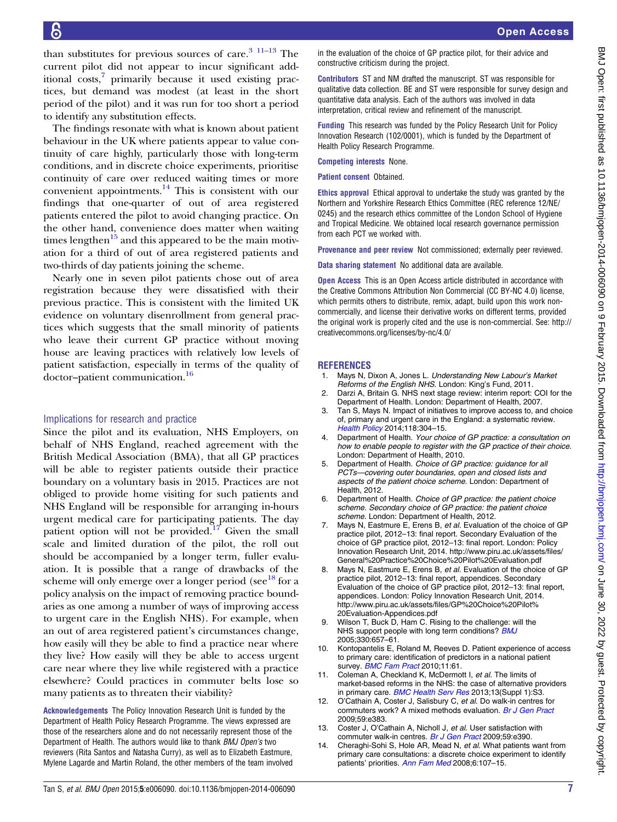<span id="page-6-0"></span>than substitutes for previous sources of care.<sup>3 11–13</sup> The current pilot did not appear to incur significant additional costs, $\frac{7}{7}$  primarily because it used existing practices, but demand was modest (at least in the short period of the pilot) and it was run for too short a period to identify any substitution effects.

The findings resonate with what is known about patient behaviour in the UK where patients appear to value continuity of care highly, particularly those with long-term conditions, and in discrete choice experiments, prioritise continuity of care over reduced waiting times or more convenient appointments.14 This is consistent with our findings that one-quarter of out of area registered patients entered the pilot to avoid changing practice. On the other hand, convenience does matter when waiting times lengthen<sup>[15](#page-7-0)</sup> and this appeared to be the main motivation for a third of out of area registered patients and two-thirds of day patients joining the scheme.

Nearly one in seven pilot patients chose out of area registration because they were dissatisfied with their previous practice. This is consistent with the limited UK evidence on voluntary disenrollment from general practices which suggests that the small minority of patients who leave their current GP practice without moving house are leaving practices with relatively low levels of patient satisfaction, especially in terms of the quality of doctor-patient communication.<sup>[16](#page-7-0)</sup>

#### Implications for research and practice

Since the pilot and its evaluation, NHS Employers, on behalf of NHS England, reached agreement with the British Medical Association (BMA), that all GP practices will be able to register patients outside their practice boundary on a voluntary basis in 2015. Practices are not obliged to provide home visiting for such patients and NHS England will be responsible for arranging in-hours urgent medical care for participating patients. The day patient option will not be provided.<sup>[17](#page-7-0)</sup> Given the small scale and limited duration of the pilot, the roll out should be accompanied by a longer term, fuller evaluation. It is possible that a range of drawbacks of the scheme will only emerge over a longer period (see<sup>18</sup> for a policy analysis on the impact of removing practice boundaries as one among a number of ways of improving access to urgent care in the English NHS). For example, when an out of area registered patient's circumstances change, how easily will they be able to find a practice near where they live? How easily will they be able to access urgent care near where they live while registered with a practice elsewhere? Could practices in commuter belts lose so many patients as to threaten their viability?

Acknowledgements The Policy Innovation Research Unit is funded by the Department of Health Policy Research Programme. The views expressed are those of the researchers alone and do not necessarily represent those of the Department of Health. The authors would like to thank BMJ Open's two reviewers (Rita Santos and Natasha Curry), as well as to Elizabeth Eastmure, Mylene Lagarde and Martin Roland, the other members of the team involved in the evaluation of the choice of GP practice pilot, for their advice and constructive criticism during the project.

Contributors ST and NM drafted the manuscript. ST was responsible for qualitative data collection. BE and ST were responsible for survey design and quantitative data analysis. Each of the authors was involved in data interpretation, critical review and refinement of the manuscript.

Funding This research was funded by the Policy Research Unit for Policy Innovation Research (102/0001), which is funded by the Department of Health Policy Research Programme.

Competing interests None.

Patient consent Obtained.

Ethics approval Ethical approval to undertake the study was granted by the Northern and Yorkshire Research Ethics Committee (REC reference 12/NE/ 0245) and the research ethics committee of the London School of Hygiene and Tropical Medicine. We obtained local research governance permission from each PCT we worked with.

Provenance and peer review Not commissioned; externally peer reviewed.

Data sharing statement No additional data are available.

**Open Access** This is an Open Access article distributed in accordance with the Creative Commons Attribution Non Commercial (CC BY-NC 4.0) license, which permits others to distribute, remix, adapt, build upon this work noncommercially, and license their derivative works on different terms, provided the original work is properly cited and the use is non-commercial. See: [http://](http://creativecommons.org/licenses/by-nc/4.0/) [creativecommons.org/licenses/by-nc/4.0/](http://creativecommons.org/licenses/by-nc/4.0/)

#### **REFERENCES**

- 1. Mays N, Dixon A, Jones L. Understanding New Labour's Market Reforms of the English NHS. London: King's Fund, 2011.
- 2. Darzi A, Britain G. NHS next stage review: interim report: COI for the Department of Health. London: Department of Health, 2007.
- Tan S, Mays N. Impact of initiatives to improve access to, and choice of, primary and urgent care in the England: a systematic review. [Health Policy](http://dx.doi.org/10.1016/j.healthpol.2014.07.011) 2014;118:304–15.
- Department of Health. Your choice of GP practice: a consultation on how to enable people to register with the GP practice of their choice. London: Department of Health, 2010.
- 5. Department of Health. Choice of GP practice: guidance for all PCTs—covering outer boundaries, open and closed lists and aspects of the patient choice scheme. London: Department of Health, 2012.
- 6. Department of Health. Choice of GP practice: the patient choice scheme. Secondary choice of GP practice: the patient choice scheme. London: Department of Health, 2012.
- 7. Mays N, Eastmure E, Erens B, et al. Evaluation of the choice of GP practice pilot, 2012–13: final report. Secondary Evaluation of the choice of GP practice pilot, 2012–13: final report. London: Policy Innovation Research Unit, 2014. [http://www.piru.ac.uk/assets/files/](http://www.piru.ac.uk/assets/files/General%20Practice%20Choice%20Pilot%20Evaluation.pdf) [General%20Practice%20Choice%20Pilot%20Evaluation.pdf](http://www.piru.ac.uk/assets/files/General%20Practice%20Choice%20Pilot%20Evaluation.pdf)
- 8. Mays N, Eastmure E, Erens B, et al. Evaluation of the choice of GP practice pilot, 2012–13: final report, appendices. Secondary Evaluation of the choice of GP practice pilot, 2012–13: final report, appendices. London: Policy Innovation Research Unit, 2014. [http://www.piru.ac.uk/assets/files/GP%20Choice%20Pilot%](http://www.piru.ac.uk/assets/files/GP%20Choice%20Pilot%20Evaluation-Appendices.pdf) [20Evaluation-Appendices.pdf](http://www.piru.ac.uk/assets/files/GP%20Choice%20Pilot%20Evaluation-Appendices.pdf)
- Wilson T, Buck D, Ham C. Rising to the challenge: will the NHS support people with long term conditions? **[BMJ](http://dx.doi.org/10.1136/bmj.330.7492.657)** 2005;330:657–61.
- 10. Kontopantelis E, Roland M, Reeves D. Patient experience of access to primary care: identification of predictors in a national patient survey. **[BMC Fam Pract](http://dx.doi.org/10.1186/1471-2296-11-61) 2010**;11:61.
- 11. Coleman A, Checkland K, McDermott I, et al. The limits of market-based reforms in the NHS: the case of alternative providers in primary care. [BMC Health Serv Res](http://dx.doi.org/10.1186/1472-6963-13-S1-S3) 2013;13(Suppl 1):S3.
- 12. O'Cathain A, Coster J, Salisbury C, et al. Do walk-in centres for commuters work? A mixed methods evaluation. [Br J Gen Pract](http://dx.doi.org/10.3399/bjgp09X473150) 2009;59:e383.
- 13. Coster J, O'Cathain A, Nicholl J, et al. User satisfaction with commuter walk-in centres. [Br J Gen Pract](http://dx.doi.org/10.3399/bjgp09X473169) 2009;59:e390.
- 14. Cheraghi-Sohi S, Hole AR, Mead N, et al. What patients want from primary care consultations: a discrete choice experiment to identify patients' priorities. [Ann Fam Med](http://dx.doi.org/10.1370/afm.816) 2008;6:107-15.